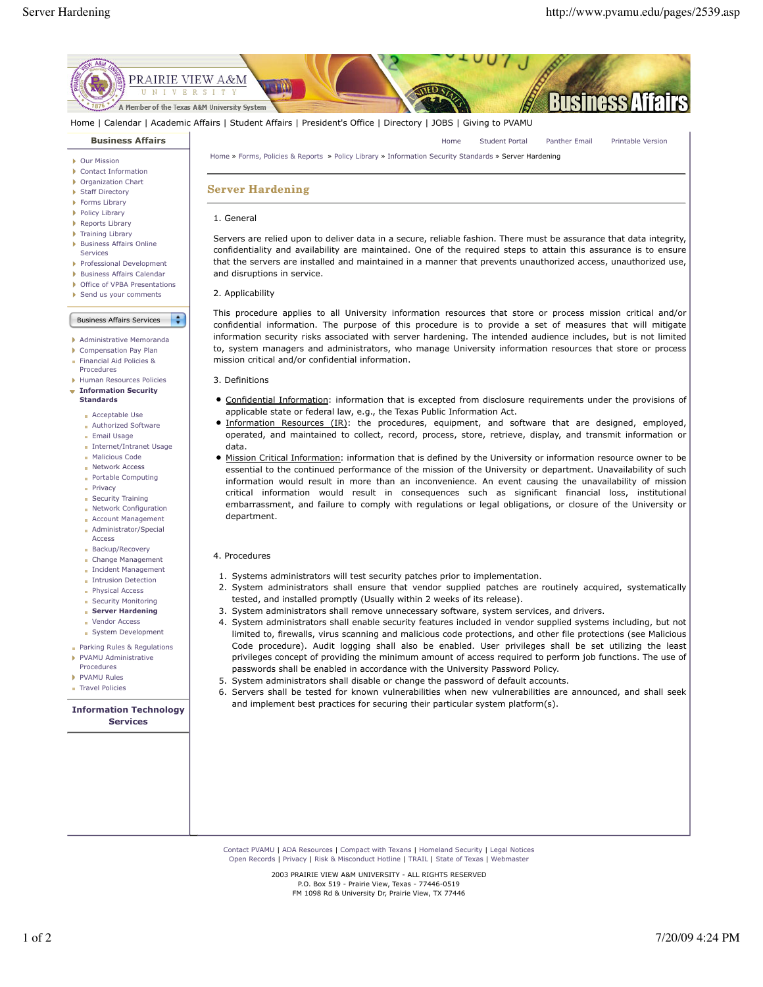

Home | Calendar | Academic Affairs | Student Affairs | President's Office | Directory | JOBS | Giving to PVAMU

### **Business Affairs**

- Our Mission
- Contact Information Þ
- Organization Chart
- **Staff Directory**
- **Forms Library**
- Policy Library
- Reports Library
- Training Library
- **Business Affairs Online** Services
- 
- Professional Development **Business Affairs Calendar**
- ▶ Office of VPBA Presentations
- Send us your comments

Business Affairs Services  $\overline{\phantom{a}}$ 

- Administrative Memoranda
- Compensation Pay Plan
- Financial Aid Policies &
- Procedures
- Human Resources Policies **Information Security**
- **Standards**
- **Acceptable Use**
- **Authorized Software**
- Email Usage
- Internet/Intranet Usage **Malicious Code**
- **Network Access**
- **Portable Computing**
- **Privacy**
- Security Training
- **Network Configuration**
- Account Management
- **Administrator/Special**
- Access **Backup/Recovery**
- Change Management
- **Incident Management**
- **Intrusion Detection**
- **Physical Access**
- **Security Monitoring**
- **Server Hardening Vendor Access**
- System Development
- Parking Rules & Regulations
- PVAMU Administrative
- Procedures
- **PVAMU Rules**
- Travel Policies ×.

### **Information Technology Services**

Home » Forms, Policies & Reports » Policy Library » Information Security Standards » Server Hardening

# **Server Hardening**

## 1. General

Servers are relied upon to deliver data in a secure, reliable fashion. There must be assurance that data integrity, confidentiality and availability are maintained. One of the required steps to attain this assurance is to ensure that the servers are installed and maintained in a manner that prevents unauthorized access, unauthorized use, and disruptions in service.

#### 2. Applicability

This procedure applies to all University information resources that store or process mission critical and/or confidential information. The purpose of this procedure is to provide a set of measures that will mitigate information security risks associated with server hardening. The intended audience includes, but is not limited to, system managers and administrators, who manage University information resources that store or process mission critical and/or confidential information.

- 3. Definitions
- Confidential Information: information that is excepted from disclosure requirements under the provisions of applicable state or federal law, e.g., the Texas Public Information Act.
- **Information Resources (IR):** the procedures, equipment, and software that are designed, employed, operated, and maintained to collect, record, process, store, retrieve, display, and transmit information or data.
- Mission Critical Information: information that is defined by the University or information resource owner to be essential to the continued performance of the mission of the University or department. Unavailability of such information would result in more than an inconvenience. An event causing the unavailability of mission critical information would result in consequences such as significant financial loss, institutional embarrassment, and failure to comply with regulations or legal obligations, or closure of the University or department.

## 4. Procedures

- 1. Systems administrators will test security patches prior to implementation.
- 2. System administrators shall ensure that vendor supplied patches are routinely acquired, systematically tested, and installed promptly (Usually within 2 weeks of its release).
- 3. System administrators shall remove unnecessary software, system services, and drivers.
- 4. System administrators shall enable security features included in vendor supplied systems including, but not limited to, firewalls, virus scanning and malicious code protections, and other file protections (see Malicious Code procedure). Audit logging shall also be enabled. User privileges shall be set utilizing the least privileges concept of providing the minimum amount of access required to perform job functions. The use of passwords shall be enabled in accordance with the University Password Policy.
- 5. System administrators shall disable or change the password of default accounts.
- Servers shall be tested for known vulnerabilities when new vulnerabilities are announced, and shall seek 6. and implement best practices for securing their particular system platform(s).

Contact PVAMU | ADA Resources | Compact with Texans | Homeland Security | Legal Notices Open Records | Privacy | Risk & Misconduct Hotline | TRAIL | State of Texas | Webmaster

> 2003 PRAIRIE VIEW A&M UNIVERSITY - ALL RIGHTS RESERVED P.O. Box 519 - Prairie View, Texas - 77446-0519 FM 1098 Rd & University Dr, Prairie View, TX 77446

# Home Student Portal Panther Email Printable Version